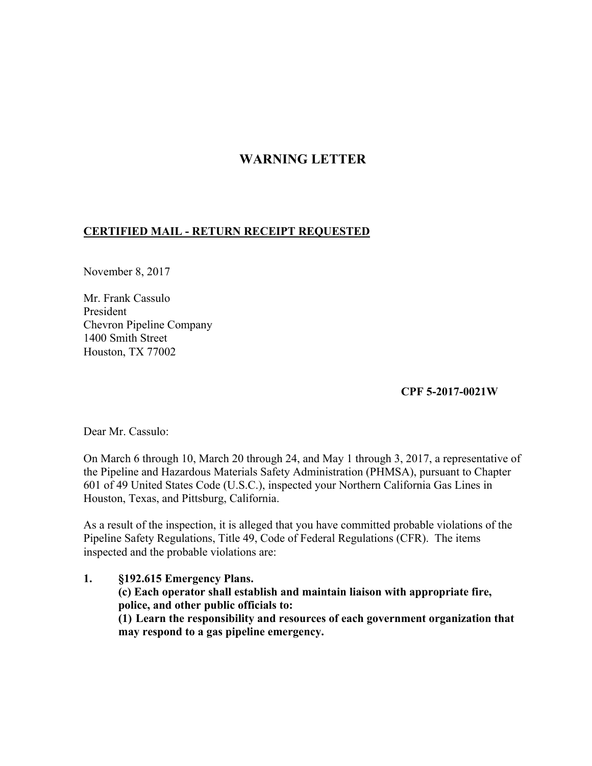## **WARNING LETTER**

## **CERTIFIED MAIL - RETURN RECEIPT REQUESTED**

November 8, 2017

Mr. Frank Cassulo President Chevron Pipeline Company 1400 Smith Street Houston, TX 77002

**CPF 5-2017-0021W** 

Dear Mr. Cassulo:

On March 6 through 10, March 20 through 24, and May 1 through 3, 2017, a representative of the Pipeline and Hazardous Materials Safety Administration (PHMSA), pursuant to Chapter 601 of 49 United States Code (U.S.C.), inspected your Northern California Gas Lines in Houston, Texas, and Pittsburg, California.

As a result of the inspection, it is alleged that you have committed probable violations of the Pipeline Safety Regulations, Title 49, Code of Federal Regulations (CFR). The items inspected and the probable violations are:

**1. §192.615 Emergency Plans. (c) Each operator shall establish and maintain liaison with appropriate fire, police, and other public officials to: (1) Learn the responsibility and resources of each government organization that may respond to a gas pipeline emergency.**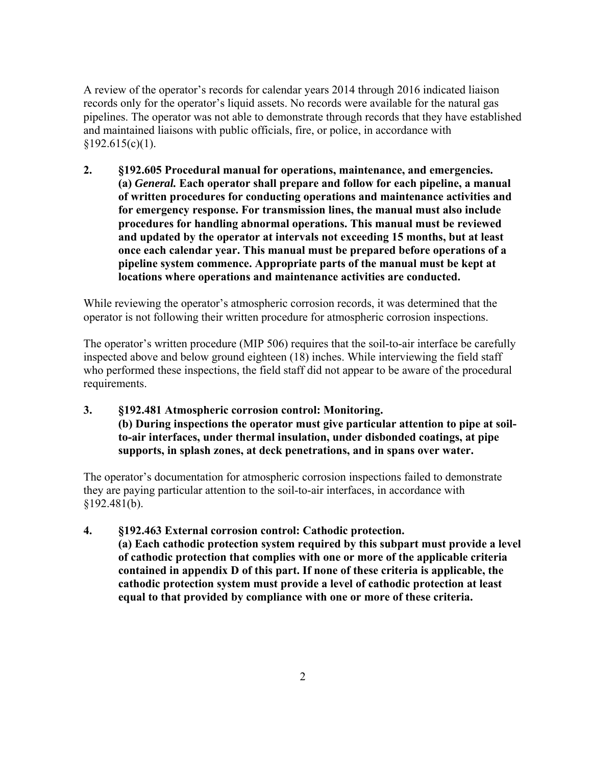A review of the operator's records for calendar years 2014 through 2016 indicated liaison records only for the operator's liquid assets. No records were available for the natural gas pipelines. The operator was not able to demonstrate through records that they have established and maintained liaisons with public officials, fire, or police, in accordance with  $§192.615(c)(1).$ 

**2. §192.605 Procedural manual for operations, maintenance, and emergencies. (a)** *General.* **Each operator shall prepare and follow for each pipeline, a manual of written procedures for conducting operations and maintenance activities and for emergency response. For transmission lines, the manual must also include procedures for handling abnormal operations. This manual must be reviewed and updated by the operator at intervals not exceeding 15 months, but at least once each calendar year. This manual must be prepared before operations of a pipeline system commence. Appropriate parts of the manual must be kept at locations where operations and maintenance activities are conducted.** 

While reviewing the operator's atmospheric corrosion records, it was determined that the operator is not following their written procedure for atmospheric corrosion inspections.

The operator's written procedure (MIP 506) requires that the soil-to-air interface be carefully inspected above and below ground eighteen (18) inches. While interviewing the field staff who performed these inspections, the field staff did not appear to be aware of the procedural requirements.

**3. §192.481 Atmospheric corrosion control: Monitoring. (b) During inspections the operator must give particular attention to pipe at soilto-air interfaces, under thermal insulation, under disbonded coatings, at pipe supports, in splash zones, at deck penetrations, and in spans over water.** 

The operator's documentation for atmospheric corrosion inspections failed to demonstrate they are paying particular attention to the soil-to-air interfaces, in accordance with  $§192.481(b).$ 

**4. §192.463 External corrosion control: Cathodic protection. (a) Each cathodic protection system required by this subpart must provide a level of cathodic protection that complies with one or more of the applicable criteria contained in appendix D of this part. If none of these criteria is applicable, the cathodic protection system must provide a level of cathodic protection at least equal to that provided by compliance with one or more of these criteria.**